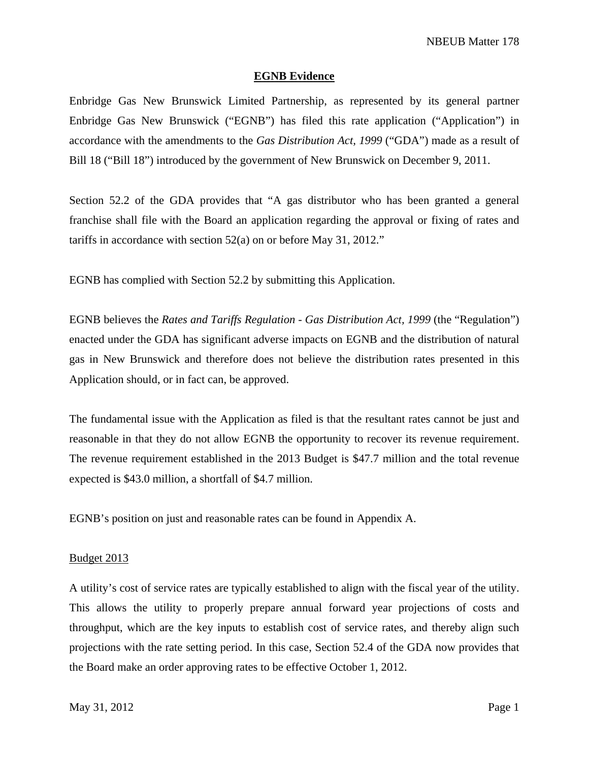# **EGNB Evidence**

Enbridge Gas New Brunswick Limited Partnership, as represented by its general partner Enbridge Gas New Brunswick ("EGNB") has filed this rate application ("Application") in accordance with the amendments to the *Gas Distribution Act, 1999* ("GDA") made as a result of Bill 18 ("Bill 18") introduced by the government of New Brunswick on December 9, 2011.

Section 52.2 of the GDA provides that "A gas distributor who has been granted a general franchise shall file with the Board an application regarding the approval or fixing of rates and tariffs in accordance with section 52(a) on or before May 31, 2012."

EGNB has complied with Section 52.2 by submitting this Application.

EGNB believes the *Rates and Tariffs Regulation - Gas Distribution Act, 1999* (the "Regulation") enacted under the GDA has significant adverse impacts on EGNB and the distribution of natural gas in New Brunswick and therefore does not believe the distribution rates presented in this Application should, or in fact can, be approved.

The fundamental issue with the Application as filed is that the resultant rates cannot be just and reasonable in that they do not allow EGNB the opportunity to recover its revenue requirement. The revenue requirement established in the 2013 Budget is \$47.7 million and the total revenue expected is \$43.0 million, a shortfall of \$4.7 million.

EGNB's position on just and reasonable rates can be found in Appendix A.

### Budget 2013

A utility's cost of service rates are typically established to align with the fiscal year of the utility. This allows the utility to properly prepare annual forward year projections of costs and throughput, which are the key inputs to establish cost of service rates, and thereby align such projections with the rate setting period. In this case, Section 52.4 of the GDA now provides that the Board make an order approving rates to be effective October 1, 2012.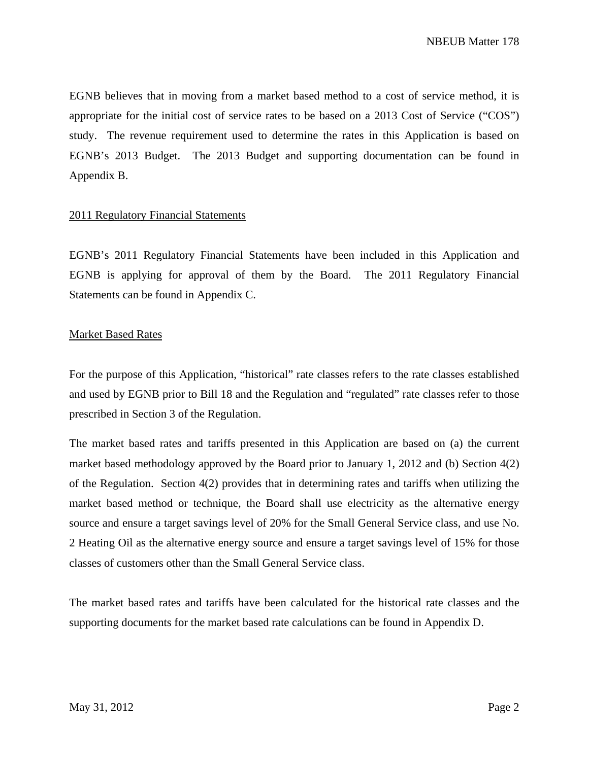EGNB believes that in moving from a market based method to a cost of service method, it is appropriate for the initial cost of service rates to be based on a 2013 Cost of Service ("COS") study. The revenue requirement used to determine the rates in this Application is based on EGNB's 2013 Budget. The 2013 Budget and supporting documentation can be found in Appendix B.

## 2011 Regulatory Financial Statements

EGNB's 2011 Regulatory Financial Statements have been included in this Application and EGNB is applying for approval of them by the Board. The 2011 Regulatory Financial Statements can be found in Appendix C.

## Market Based Rates

For the purpose of this Application, "historical" rate classes refers to the rate classes established and used by EGNB prior to Bill 18 and the Regulation and "regulated" rate classes refer to those prescribed in Section 3 of the Regulation.

The market based rates and tariffs presented in this Application are based on (a) the current market based methodology approved by the Board prior to January 1, 2012 and (b) Section 4(2) of the Regulation. Section 4(2) provides that in determining rates and tariffs when utilizing the market based method or technique, the Board shall use electricity as the alternative energy source and ensure a target savings level of 20% for the Small General Service class, and use No. 2 Heating Oil as the alternative energy source and ensure a target savings level of 15% for those classes of customers other than the Small General Service class.

The market based rates and tariffs have been calculated for the historical rate classes and the supporting documents for the market based rate calculations can be found in Appendix D.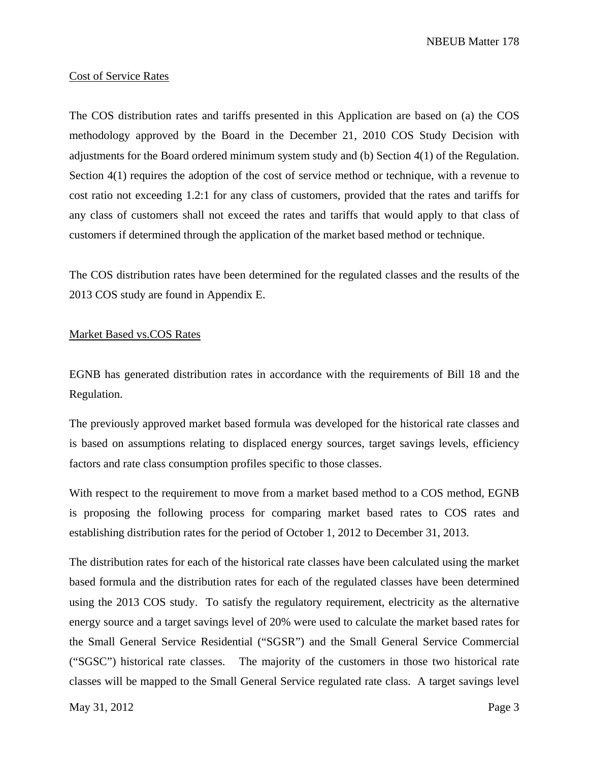NBEUB Matter 178

#### Cost of Service Rates

The COS distribution rates and tariffs presented in this Application are based on (a) the COS methodology approved by the Board in the December 21, 2010 COS Study Decision with adjustments for the Board ordered minimum system study and (b) Section 4(1) of the Regulation. Section 4(1) requires the adoption of the cost of service method or technique, with a revenue to cost ratio not exceeding 1.2:1 for any class of customers, provided that the rates and tariffs for any class of customers shall not exceed the rates and tariffs that would apply to that class of customers if determined through the application of the market based method or technique.

The COS distribution rates have been determined for the regulated classes and the results of the 2013 COS study are found in Appendix E.

# Market Based vs.COS Rates

EGNB has generated distribution rates in accordance with the requirements of Bill 18 and the Regulation.

The previously approved market based formula was developed for the historical rate classes and is based on assumptions relating to displaced energy sources, target savings levels, efficiency factors and rate class consumption profiles specific to those classes.

With respect to the requirement to move from a market based method to a COS method, EGNB is proposing the following process for comparing market based rates to COS rates and establishing distribution rates for the period of October 1, 2012 to December 31, 2013.

The distribution rates for each of the historical rate classes have been calculated using the market based formula and the distribution rates for each of the regulated classes have been determined using the 2013 COS study. To satisfy the regulatory requirement, electricity as the alternative energy source and a target savings level of 20% were used to calculate the market based rates for the Small General Service Residential ("SGSR") and the Small General Service Commercial ("SGSC") historical rate classes. The majority of the customers in those two historical rate classes will be mapped to the Small General Service regulated rate class. A target savings level

May  $31, 2012$  Page 3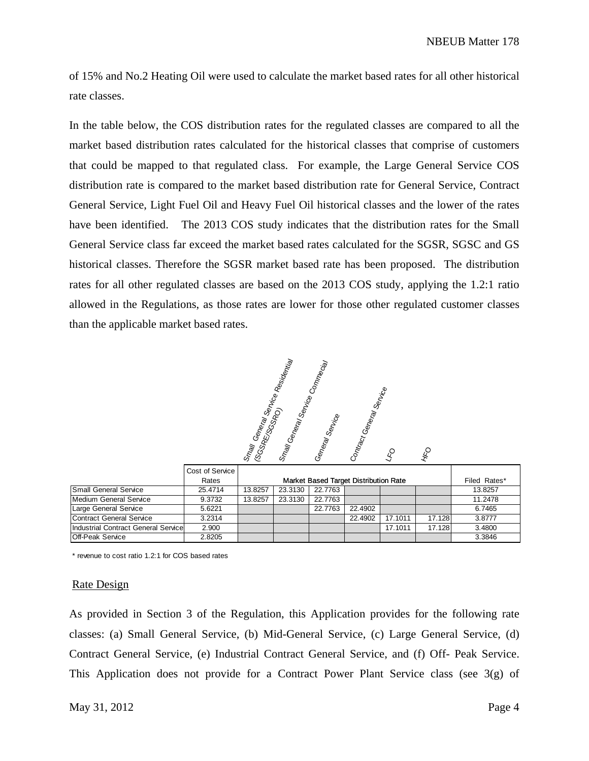of 15% and No.2 Heating Oil were used to calculate the market based rates for all other historical rate classes.

In the table below, the COS distribution rates for the regulated classes are compared to all the market based distribution rates calculated for the historical classes that comprise of customers that could be mapped to that regulated class. For example, the Large General Service COS distribution rate is compared to the market based distribution rate for General Service, Contract General Service, Light Fuel Oil and Heavy Fuel Oil historical classes and the lower of the rates have been identified. The 2013 COS study indicates that the distribution rates for the Small General Service class far exceed the market based rates calculated for the SGSR, SGSC and GS historical classes. Therefore the SGSR market based rate has been proposed. The distribution rates for all other regulated classes are based on the 2013 COS study, applying the 1.2:1 ratio allowed in the Regulations, as those rates are lower for those other regulated customer classes than the applicable market based rates.

Smay<br>(SGSRE/Serval Service<br>Se Res<sub>idential</sub> Small General Service Comm<sub>ecial</sub> neral Service Contract General Service  $45$  $\mathcal{L}^{\text{O}}$ 

|                                     | Cost of Service |                                       |         |         |         |         |        |              |
|-------------------------------------|-----------------|---------------------------------------|---------|---------|---------|---------|--------|--------------|
|                                     | Rates           | Market Based Target Distribution Rate |         |         |         |         |        | Filed Rates* |
| <b>Small General Service</b>        | 25.4714         | 13.8257                               | 23.3130 | 22,7763 |         |         |        | 13.8257      |
| Medium General Service              | 9.3732          | 13.8257                               | 23.3130 | 22,7763 |         |         |        | 11.2478      |
| Large General Service               | 5.6221          |                                       |         | 22,7763 | 22.4902 |         |        | 6.7465       |
| <b>Contract General Service</b>     | 3.2314          |                                       |         |         | 22.4902 | 17.1011 | 17.128 | 3.8777       |
| Industrial Contract General Service | 2.900           |                                       |         |         |         | 17.1011 | 17.128 | 3.4800       |
| <b>Off-Peak Service</b>             | 2.8205          |                                       |         |         |         |         |        | 3.3846       |

\* revenue to cost ratio 1.2:1 for COS based rates

#### Rate Design

As provided in Section 3 of the Regulation, this Application provides for the following rate classes: (a) Small General Service, (b) Mid-General Service, (c) Large General Service, (d) Contract General Service, (e) Industrial Contract General Service, and (f) Off- Peak Service. This Application does not provide for a Contract Power Plant Service class (see 3(g) of